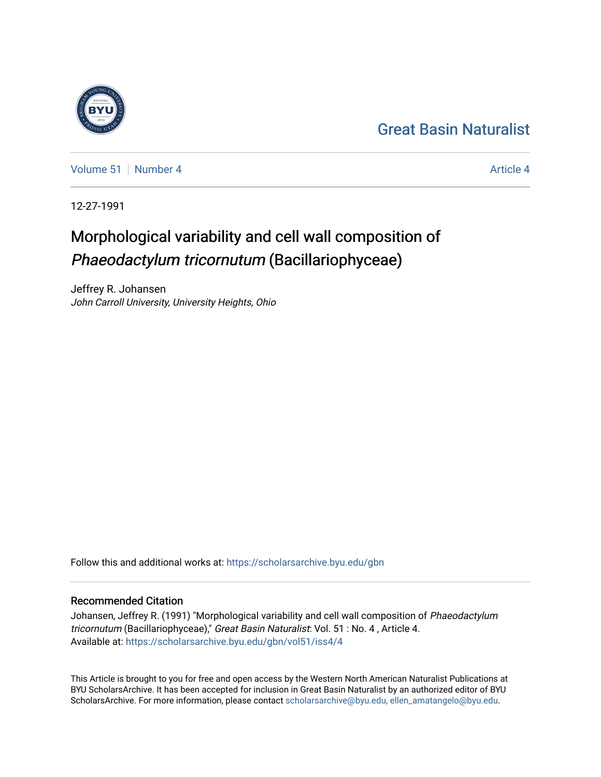## [Great Basin Naturalist](https://scholarsarchive.byu.edu/gbn)

[Volume 51](https://scholarsarchive.byu.edu/gbn/vol51) [Number 4](https://scholarsarchive.byu.edu/gbn/vol51/iss4) [Article 4](https://scholarsarchive.byu.edu/gbn/vol51/iss4/4) Article 4 Article 4 Article 4 Article 4 Article 4 Article 4

12-27-1991

# Morphological variability and cell wall composition of Phaeodactylum tricornutum (Bacillariophyceae)

Jeffrey R. Johansen John Carroll University, University Heights, Ohio

Follow this and additional works at: [https://scholarsarchive.byu.edu/gbn](https://scholarsarchive.byu.edu/gbn?utm_source=scholarsarchive.byu.edu%2Fgbn%2Fvol51%2Fiss4%2F4&utm_medium=PDF&utm_campaign=PDFCoverPages) 

### Recommended Citation

Johansen, Jeffrey R. (1991) "Morphological variability and cell wall composition of Phaeodactylum tricornutum (Bacillariophyceae)," Great Basin Naturalist: Vol. 51 : No. 4 , Article 4. Available at: [https://scholarsarchive.byu.edu/gbn/vol51/iss4/4](https://scholarsarchive.byu.edu/gbn/vol51/iss4/4?utm_source=scholarsarchive.byu.edu%2Fgbn%2Fvol51%2Fiss4%2F4&utm_medium=PDF&utm_campaign=PDFCoverPages)

This Article is brought to you for free and open access by the Western North American Naturalist Publications at BYU ScholarsArchive. It has been accepted for inclusion in Great Basin Naturalist by an authorized editor of BYU ScholarsArchive. For more information, please contact [scholarsarchive@byu.edu, ellen\\_amatangelo@byu.edu.](mailto:scholarsarchive@byu.edu,%20ellen_amatangelo@byu.edu)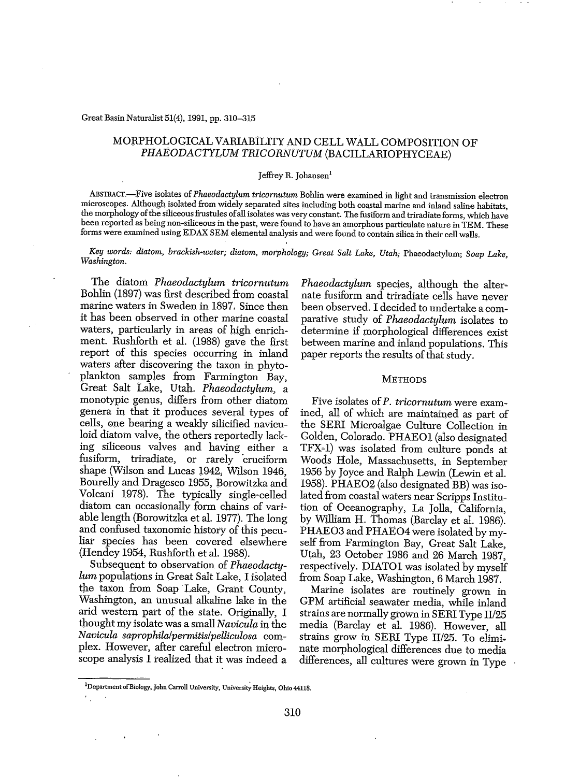#### Great Basin Naturalist 51(4), 1991, pp. 310-315

#### MORPHOLOGICAL VARIABILITY AND CELL WALL COMPOSITION OF PHAEODACTYLUM TRlCORNUTUM (BACILLARIOPHYCEAE)

#### Jeffrey R. Johansen!

ABSTRACT.-Five isolates of*Phaeodactylum tricornutum* Bohlin were examined in light and transmission electron microscopes. Although isolated from widely separated sites including both coastal marine and inland saline habitats, the morphology ofthe siliceousfrustules ofall isolates was very constant. The fusiform and triradiate forms, which have been reported as being non-siliceous in the past, were found to have an amorphous particulate nature in TEM. These forms were examined using EDAX SEM elemental analysis and were found to contain silica in their cell walls.

*Key words: diatom,* brackish~water; *diatom, morphology; Great Salt Lake, Utah;* Phaeodactylum; *Soap Lake, Washington.*

The diatom *Phaeodactylum tricornutum* Bohlin (1897) was first described from coastal marine waters in Sweden in 1897. Since then it has been observed in other marine coastal waters, particularly in areas of high enrichment. Rushforth et al. (1988) gave the first report of this species occurring in inland waters after discovering the taxon in phytoplankton samples from Farmington Bay, Great Salt Lake, Utah. *Phaeodactylum,* a monotypic genus, differs from other diatom genera in that it produces several types of cells, one bearing a weakly silicified naviculoid diatom valve, the others reportedly lacking siliceous valves and having either a fusiform, triradiate, or rarely 'cruciform shape (Wilson and Lucas 1942, Wilson 1946, Bourelly and Dragesco 1955, Borowitzka and Volcani 1978). The typically single~celled diatom can occasionally form chains of variable length (Borowitzka et al. 1977). The long and confused taxonomic history of this peculiar species has been covered elsewhere (Hendey 1954, Rushforth et al. 1988).

Subsequent to observation of *Phaeodactylum* populations in Great Salt Lake, I isolated the taxon from Soap' Lake, Grant County, Washington, an unusual alkaline lake in the arid western part of the state. Originally, I thought my isolate was a small *Navicula* in the *Navicula saprophila/permitis/pelliculosa* complex. However, after careful electron microscope analysis I realized that it Was indeed a

*Phaeodactylum* species, although the alternate fusiform and triradiate cells have never been observed. I decided to undertake a comparative study of *Phaeodactylum* isolates to determine if morphological differences exist between marine and inland populations. This paper reports the results of that study.

#### **METHODS**

Five isolates of P. tricornutum were examined, all of which are maintained as part of the SERI Microalgae Culture Collection in Golden, Colorado. PHAEOI (also designated tFX~I) was isolated from culture ponds at Woods Hole, Massachusetts, in September 1956 by Joyce and Ralph Lewin (Lewin et al. 1958). PHAE02 (also designated BB) was isolated from coastal waters near Scripps Institu~ tion of Oceanography, La Jolla, California, by William H. Thomas (Barclay et al. 1986). PHAE03 and PHAE04 were isolated by myself from Farmington Bay, Great Salt Lake, Utah, 23 October 1986 and 26 March 1987, respectively. DIATO1 was isolated by myself from Soap Lake, Washington, 6 March 1987.

Marine isolates are routinely grown in GPM artificial seawater media, while inland strains are normally grown in SERI Type II/25 media (Barclay et al. 1986). However, all strains grow in SERI Type II/25. To eliminate morphological differences due to media differences, all cultures were grown in Type

<sup>&</sup>lt;sup>1</sup>Department of Biology, John Carroll University, University Heights, Ohio 44118.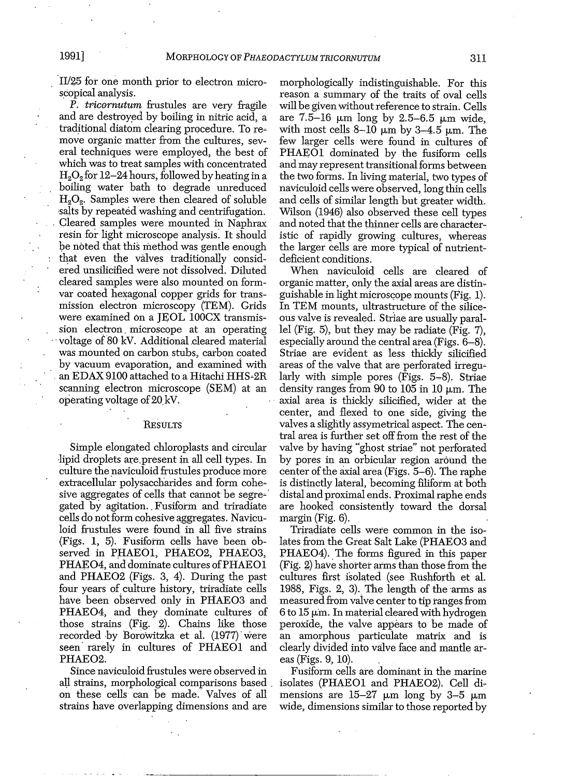II/25 for one month prior to electron micro~ scopical analysis.

P. tricornutum frustules are very fragile and are destroyed by boiling in nitric acid, a traditional diatom clearing procedure. To re~ move organic matter from the cultures, several techniques were employed, the best of which was to treat samples with concentrated  $H<sub>2</sub>O<sub>2</sub>$  for 12–24 hours, followed by heating in a boiling water bath to degrade unreduced H<sub>2</sub>O<sub>2</sub>. Samples were then cleared of soluble 'salts by repeated washing and centrifugation. , Cleared samples were mounted in Naphrax resin for light microscope analysis: It should be noted that this method was gentle enough that even the valves traditionally considered unsilicified were not dissolved. Diluted cleared samples were also mounted on formvar coated hexagonal copper grids for transmission electron microscopy (TEM). Grids were examined on a JEOL 100CX transmission electron, microscope at an operating voltage of 80 kV. Additional cleared material was mounted on carbon stubs, carbon coated by vacuum evaporation, and examined with an EDAX 9100 attached to a Hitachi HHS~2R scanning electron microscope (SEM) at an operating voltage of 20 kV.

#### **RESULTS**

Simple elongated chloroplasts and circular lipid droplets are present in all cell types. In culture the naviculoid frustules produce more extracellular polysaccharides and form cohe~ sive aggregates of cells that cannot be segre~' gated by agitation., Fusiform and triradiate cells do not form cohesive aggregates. Naviculoid frustules were found in all five strains  $(Figs. 1, 5)$ . Fusiform cells have been observed in PHAEOl, PHAE02, PHAE03, PHAEO4, and dominate cultures of PHAEO1 and PHAE02 (Figs. 3, 4). During the past four years of culture history, triradiate cells have been observed only in PHAEO3 and PHAEO4, and they dominate cultures of those strains  $(Fig. 2)$ . Chains like those recorded by Borowitzka et al. (1977) were seen' rarely in cultures of PHAEOI and PHAE02.

Since naviculoid frustules were observed in aU strains, morphological comparisons based , on these cells can be made. Valves of all strains have overlapping dimensions and are

morphologically indistinguishable. For this reason a summary of the traits of oval cells will be given without reference to strain. Cells are  $7.5-16 \mu m$  long by  $2.5-6.5 \mu m$  wide, with most cells  $8-10 \mu m$  by  $3-4.5 \mu m$ . The few larger cells were found in cultures of PHAEOI dominated by the fusiform cells and may represent transitional forms between the two forms. In living material, two types of naviculoid cells were observed, long thin cells and cells of similar length but greater width. Wilson (1946) also observed these cell types and noted that the thinner cells are character~ istic of rapidly growing cultures, whereas the larger cells are more typical of nutrientdeficient conditions. .

When naviculoid cells are cleared of organic matter, only the axial areas are distin~ guishable in light microscope mounts (Fig. 1). In 'IEM mounts, ultrastructure of the siliceous valve is revealed. Striae are usually parallel (Fig. 5), but they may be radiate (Fig. 7), especially around the central area (Figs. 6-8). Striae are evident as less thickly silicified areas of the valve that are perforated irregularly with simple pores (Figs. 5~8). Striae density ranges from 90 to 105 in 10  $\mu$ m. The axial area is thickly silicified, wider at the center, and flexed to one Side, giving the valves a slightly assymetrical aspect. The central area is further set off from the rest of the valve by having "ghost striae" not perforated by pores in an orbicular region around the center of the axial area (Figs.  $5-6$ ). The raphe is distinctly lateral, becoming filiform at both distal and proximal ends. Proximal raphe ends are hooked consistently toward the dorsal margin (Fig. 6).

Triradiate cells were common in the isolates from the Great Salt Lake *(PHAE03* and PHAE04). The forms figured in this paper (Fig. 2) have shorter arms than those from the cultures first isolated (see Rushforth et al. 1988, Figs.  $2, 3$ ). The length of the arms as measured from vaive center to tip ranges from  $6$  to  $15 \mu m$ . In material cleared with hydrogen peroXide, the valve appears to be made of an amorphous particulate matrix and is clearly diVided into valve face and mantle areas (Figs. 9, 10).

Fusiform cells are dominant in the marine isolates (PHAEOI and PHAE02). Cell dimensions are  $15-27 \mu m$  long by 3-5  $\mu m$ wide, dimensions similar to those reported by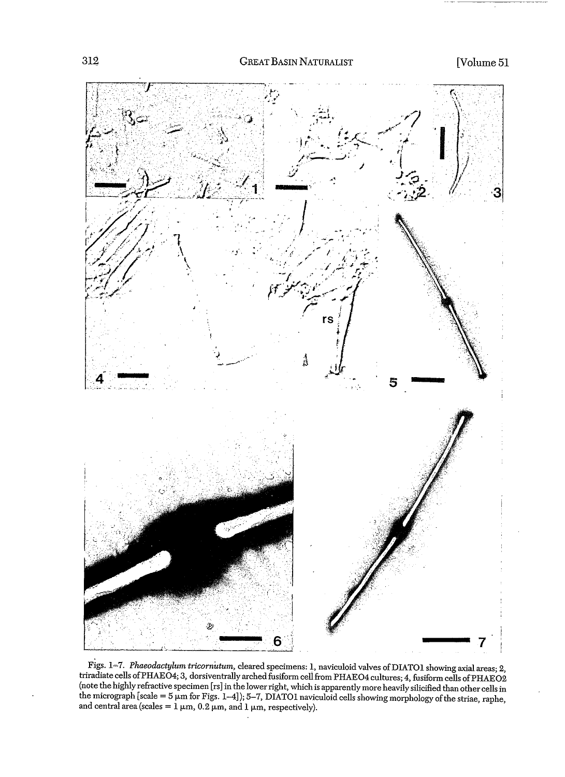

Figs. 1=7. *Phaeodactylum tricomhtum,* cleared specimens: 1, naviculoid valves ofDlATOl showing axial areas; 2, triradiate cells ofPHAE04; 3, dorsiventrally arched fusiform cellfrom PHAE04 cultures; 4, fusiform cells ofPHAE02 note the highly refractive specimen [rs] in the lower right, which is apparently more heavily silicified than other cells in he micrograph [scale = 5  $\mu$ m for Figs. 1–4]); 5–7, DIATO1 naviculoid cells showing morphology of the striae, raphe, and central area (scales =  $1 \mu$ m, 0.2  $\mu$ m, and 1  $\mu$ m, respectively).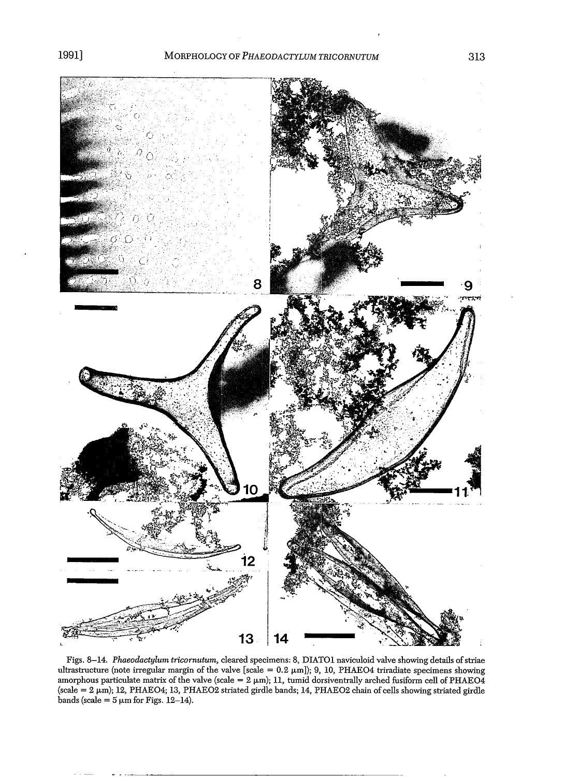

Figs. 8-14. *Phaeodactylum tricornutum,* cleared specimens: 8, DIATOI navicuioid valve showing details ofstriae ultrastructure (note irregular margin of the valve [scale =  $0.2 \mu m$ ]); 9, 10, PHAEO4 triradiate specimens showing amorphous particulate matrix of the valve (scale =  $2 \mu m$ ); 11, tumid dorsiventrally arched fusiform cell of PHAEO4  $(scale = 2 \mu m)$ ; 12, PHAEO4; 13, PHAEO2 striated girdle bands; 14, PHAEO2 chain of cells showing striated girdle bands (scale =  $5 \mu m$  for Figs. 12-14).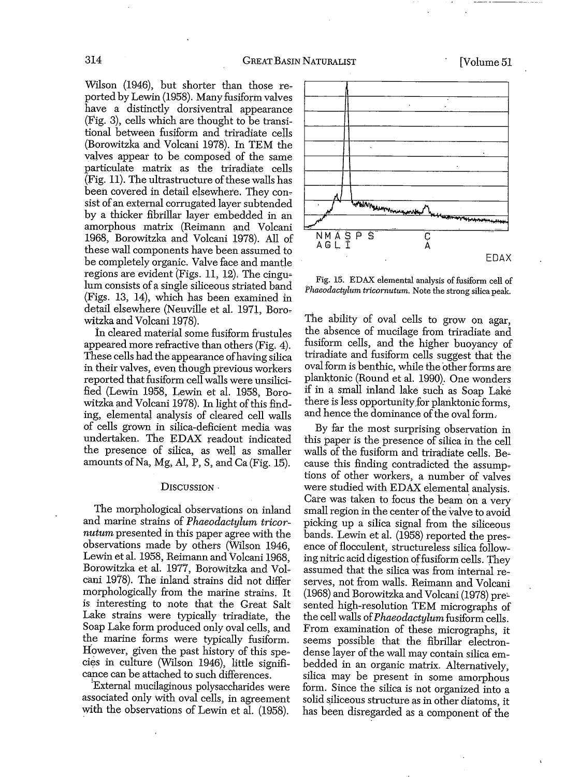Wilson (1946), but shorter than those reported by Lewin (1958). Many fusiform valves have a distinctly dorsiventral appearance  $(Fig. 3)$ , cells which are thought to be transitional between fusiform and triradiate cells (Borowitzka and Volcani 1978). In TEM the valves appear to be composed of the same particulate matrix as the triradiate cells  $(Fig. 11)$ . The ultrastructure of these walls has been covered in detail elsewhere. They consist of an external corrugated layer subtended by a thicker fibrillar layer embedded in an amorphous matrix (Reimann and Volcani 1968, Borowitzka and Volcani 1978). All of these wall components have been assumed to be completely organic. Valve face and mantle regions are evident (Figs. 11, 12). The cingu; lum consists of a single siliceous striated band (Figs. 13, 14), which has been examined in detail elsewhere (Neuville et al. 1971, Borowitzka and Volcani 1978).

tn cleared material some fusiform frustules appeared more refractive than others (Fig. 4). These cells had the appearance ofhaving silica in their valves, even though previous workers reported that fusiform cell walls were unsilicified (Lewin 1958, Lewin et al. 1958, Borowitzka and Volcani 1978). In light of this finding, elemental analysis of cleared cell walls of cells grown in silica-deficient media Was undertaken. The EDAX readout indicated the presence of silica, as well as smaller amounts of Na, Mg, Al, P, S, and Ca (Fig. 15).

#### DISCUSSION .

The morphological observations on inland and marine strains of *Phaeodactylum tricornutum* presented in this paper agree with the observations made by others (Wilson 1946, Lewin et al. 1958, Reimann and Volcani 1968, Borowitzka et al. 1977, Borowitzka and Volcani 1978). The inland strains did not differ morphologically from the marine strains. It is interesting to note that the Great Salt Lake strains were typically triradiate, the Soap Lake form produced only oval cells, and the marine forms were typically fusiform. However, given the past history of this species in culture (Wilson 1946), little significance can be attached to such differences.

!External mucilaginous polysaccharides were associated only With oval cells, in agreement with the observations of Lewin et al. (1958).





The ability of oval cells to grow on agar, the absence of mucilage from triradiate and fusiform cells, and the higher buoyancy of triradiate and fusiform cells suggest that the oval form is benthic, while the other forms are planktonic (Round et al. 1990). One wonders if in a small inland lake such as Soap Lake there is less opportunity for planktonic forms, and hence the dominance of the oval form.

By far the most surprising observation in this paper is the presence of silica in the cell walls of the fusiform and triradiate cells. Because this finding contradicted the assumptions of other workers, a number of valves were studied with EDAX elemental analysis. Care was taken to focus the beam on a very small region in the center of the valve to avoid picking up a silica signal from the siliceous bands. Lewin et al. (1958) reported the presence of flocculent, structureless silica following nitric acid digestion of fusiform cells. They assumed that the silica was from internal reserves, not from walls. Reimann and Volcani (1968) and Borowitzka and Volcani (1978) pre~ sented high-resolution TEM micrographs of the cell walls *ofPhaeodactylumfusiform* cells. From examination of these micrographs, it seems possible that the fibrillar electrondense layer of the wall may contain silica embedded in an organic matrix. Alternatively, silica may be present in some amorphous form. Since the silica is not organized into a solid siliceous structure as in other diatoms, it has been disregarded as a component of the